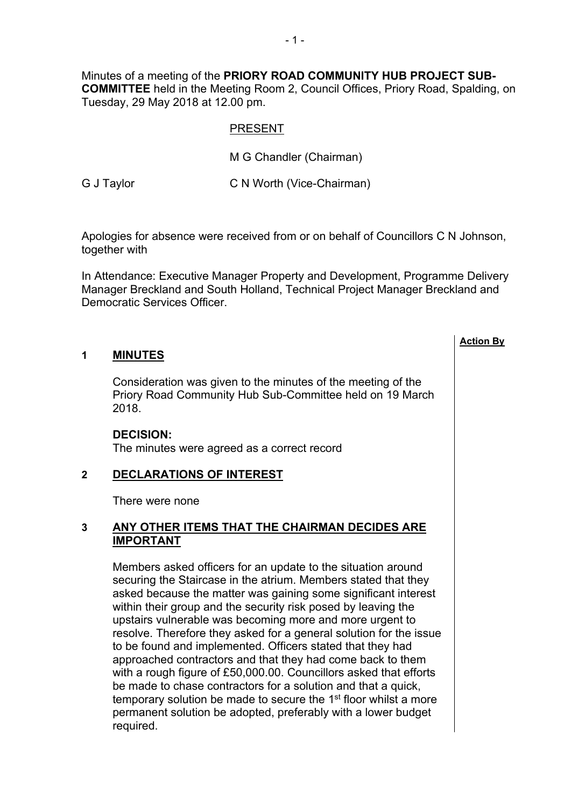Minutes of a meeting of the **PRIORY ROAD COMMUNITY HUB PROJECT SUB-COMMITTEE** held in the Meeting Room 2, Council Offices, Priory Road, Spalding, on Tuesday, 29 May 2018 at 12.00 pm.

### PRESENT

M G Chandler (Chairman)

G J Taylor **C N Worth (Vice-Chairman)** 

Apologies for absence were received from or on behalf of Councillors C N Johnson, together with

In Attendance: Executive Manager Property and Development, Programme Delivery Manager Breckland and South Holland, Technical Project Manager Breckland and Democratic Services Officer.

**Action By**

### **1 MINUTES**

Consideration was given to the minutes of the meeting of the Priory Road Community Hub Sub-Committee held on 19 March 2018.

#### **DECISION:**

The minutes were agreed as a correct record

## **2 DECLARATIONS OF INTEREST**

There were none

### **3 ANY OTHER ITEMS THAT THE CHAIRMAN DECIDES ARE IMPORTANT**

Members asked officers for an update to the situation around securing the Staircase in the atrium. Members stated that they asked because the matter was gaining some significant interest within their group and the security risk posed by leaving the upstairs vulnerable was becoming more and more urgent to resolve. Therefore they asked for a general solution for the issue to be found and implemented. Officers stated that they had approached contractors and that they had come back to them with a rough figure of £50,000.00. Councillors asked that efforts be made to chase contractors for a solution and that a quick, temporary solution be made to secure the 1<sup>st</sup> floor whilst a more permanent solution be adopted, preferably with a lower budget required.